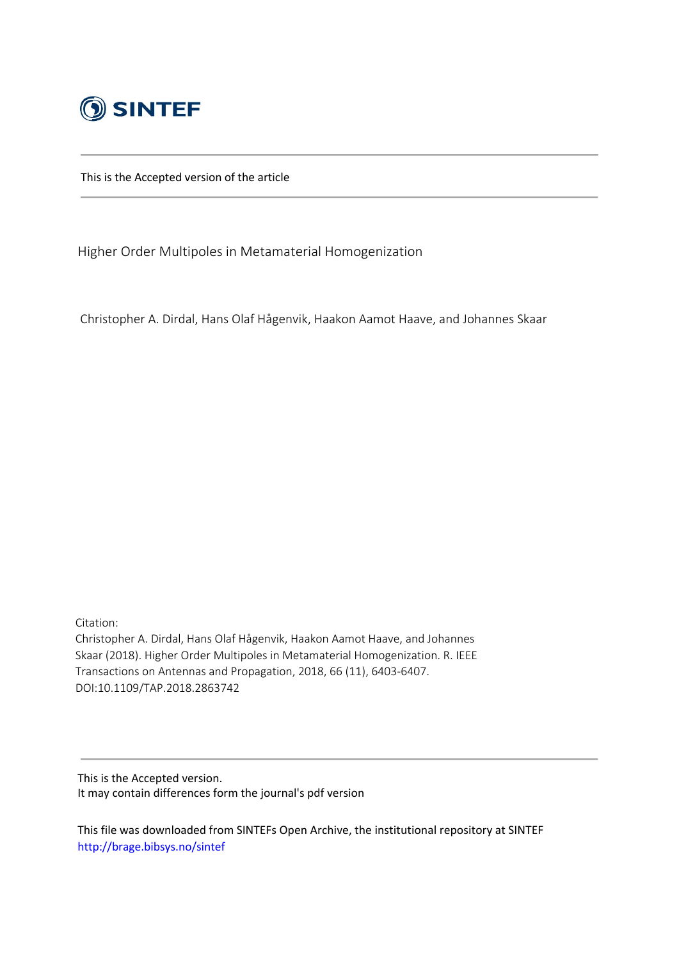

This is the Accepted version of the article

Higher Order Multipoles in Metamaterial Homogenization

Christopher A. Dirdal, Hans Olaf Hågenvik, Haakon Aamot Haave, and Johannes Skaar

Citation: Christopher A. Dirdal, Hans Olaf Hågenvik, Haakon Aamot Haave, and Johannes Skaar (2018). Higher Order Multipoles in Metamaterial Homogenization. R. IEEE Transactions on Antennas and Propagation, 2018, 66 (11), 6403-6407. DOI:10.1109/TAP.2018.2863742

This is the Accepted version. It may contain differences form the journal's pdf version

This file was downloaded from SINTEFs Open Archive, the institutional repository at SINTEF http://brage.bibsys.no/sintef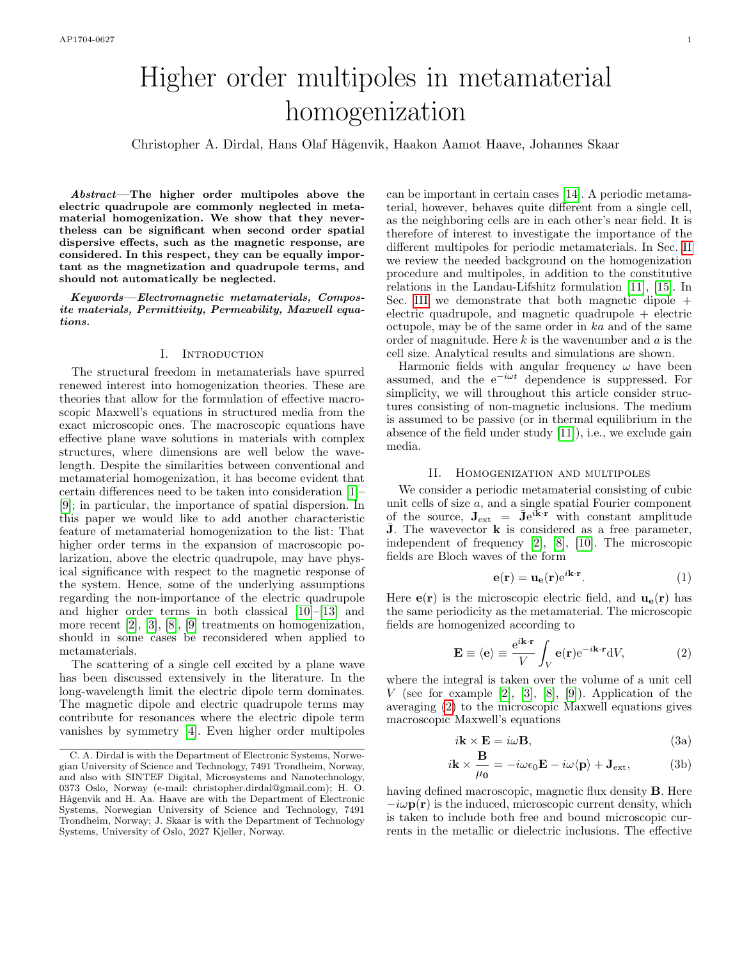# Higher order multipoles in metamaterial homogenization

Christopher A. Dirdal, Hans Olaf H˚agenvik, Haakon Aamot Haave, Johannes Skaar

Abstract—The higher order multipoles above the electric quadrupole are commonly neglected in metamaterial homogenization. We show that they nevertheless can be significant when second order spatial dispersive effects, such as the magnetic response, are considered. In this respect, they can be equally important as the magnetization and quadrupole terms, and should not automatically be neglected.

Keywords—Electromagnetic metamaterials, Composite materials, Permittivity, Permeability, Maxwell equations.

#### I. Introduction

The structural freedom in metamaterials have spurred renewed interest into homogenization theories. These are theories that allow for the formulation of effective macroscopic Maxwell's equations in structured media from the exact microscopic ones. The macroscopic equations have effective plane wave solutions in materials with complex structures, where dimensions are well below the wavelength. Despite the similarities between conventional and metamaterial homogenization, it has become evident that certain differences need to be taken into consideration [\[1\]](#page-5-0)– [\[9\]](#page-6-0); in particular, the importance of spatial dispersion. In this paper we would like to add another characteristic feature of metamaterial homogenization to the list: That higher order terms in the expansion of macroscopic polarization, above the electric quadrupole, may have physical significance with respect to the magnetic response of the system. Hence, some of the underlying assumptions regarding the non-importance of the electric quadrupole and higher order terms in both classical [\[10\]](#page-6-1)–[\[13\]](#page-6-2) and more recent [\[2\]](#page-5-1), [\[3\]](#page-5-2), [\[8\]](#page-6-3), [\[9\]](#page-6-0) treatments on homogenization, should in some cases be reconsidered when applied to metamaterials.

The scattering of a single cell excited by a plane wave has been discussed extensively in the literature. In the long-wavelength limit the electric dipole term dominates. The magnetic dipole and electric quadrupole terms may contribute for resonances where the electric dipole term vanishes by symmetry [\[4\]](#page-5-3). Even higher order multipoles

can be important in certain cases [\[14\]](#page-6-4). A periodic metamaterial, however, behaves quite different from a single cell, as the neighboring cells are in each other's near field. It is therefore of interest to investigate the importance of the different multipoles for periodic metamaterials. In Sec. [II](#page-1-0) we review the needed background on the homogenization procedure and multipoles, in addition to the constitutive relations in the Landau-Lifshitz formulation [\[11\]](#page-6-5), [\[15\]](#page-6-6). In Sec. [III](#page-3-0) we demonstrate that both magnetic dipole  $+$ electric quadrupole, and magnetic quadrupole + electric octupole, may be of the same order in ka and of the same order of magnitude. Here  $k$  is the wavenumber and  $a$  is the cell size. Analytical results and simulations are shown.

Harmonic fields with angular frequency  $\omega$  have been assumed, and the  $e^{-i\omega t}$  dependence is suppressed. For simplicity, we will throughout this article consider structures consisting of non-magnetic inclusions. The medium is assumed to be passive (or in thermal equilibrium in the absence of the field under study [\[11\]](#page-6-5)), i.e., we exclude gain media.

#### II. Homogenization and multipoles

<span id="page-1-0"></span>We consider a periodic metamaterial consisting of cubic unit cells of size  $a$ , and a single spatial Fourier component of the source,  $J_{ext} = \bar{J}e^{i\vec{k}\cdot\vec{r}}$  with constant amplitude  $J$ . The wavevector  $k$  is considered as a free parameter, independent of frequency [\[2\]](#page-5-1), [\[8\]](#page-6-3), [\[10\]](#page-6-1). The microscopic fields are Bloch waves of the form

$$
\mathbf{e}(\mathbf{r}) = \mathbf{u}_{\mathbf{e}}(\mathbf{r})e^{i\mathbf{k}\cdot\mathbf{r}}.
$$
 (1)

Here  $e(\mathbf{r})$  is the microscopic electric field, and  $\mathbf{u}_e(\mathbf{r})$  has the same periodicity as the metamaterial. The microscopic fields are homogenized according to

<span id="page-1-1"></span>
$$
\mathbf{E} \equiv \langle \mathbf{e} \rangle \equiv \frac{e^{i\mathbf{k} \cdot \mathbf{r}}}{V} \int_{V} \mathbf{e}(\mathbf{r}) e^{-i\mathbf{k} \cdot \mathbf{r}} dV, \tag{2}
$$

where the integral is taken over the volume of a unit cell V (see for example [\[2\]](#page-5-1), [\[3\]](#page-5-2), [\[8\]](#page-6-3), [\[9\]](#page-6-0)). Application of the averaging [\(2\)](#page-1-1) to the microscopic Maxwell equations gives macroscopic Maxwell's equations

<span id="page-1-2"></span>
$$
i\mathbf{k} \times \mathbf{E} = i\omega \mathbf{B},\tag{3a}
$$

$$
i\mathbf{k} \times \frac{\mathbf{B}}{\mu_0} = -i\omega\epsilon_0 \mathbf{E} - i\omega \langle \mathbf{p} \rangle + \mathbf{J}_{\text{ext}}, \tag{3b}
$$

having defined macroscopic, magnetic flux density B. Here  $-i\omega \mathbf{p}(\mathbf{r})$  is the induced, microscopic current density, which is taken to include both free and bound microscopic currents in the metallic or dielectric inclusions. The effective

C. A. Dirdal is with the Department of Electronic Systems, Norwegian University of Science and Technology, 7491 Trondheim, Norway, and also with SINTEF Digital, Microsystems and Nanotechnology, 0373 Oslo, Norway (e-mail: christopher.dirdal@gmail.com); H. O. Hågenvik and H. Aa. Haave are with the Department of Electronic Systems, Norwegian University of Science and Technology, 7491 Trondheim, Norway; J. Skaar is with the Department of Technology Systems, University of Oslo, 2027 Kjeller, Norway.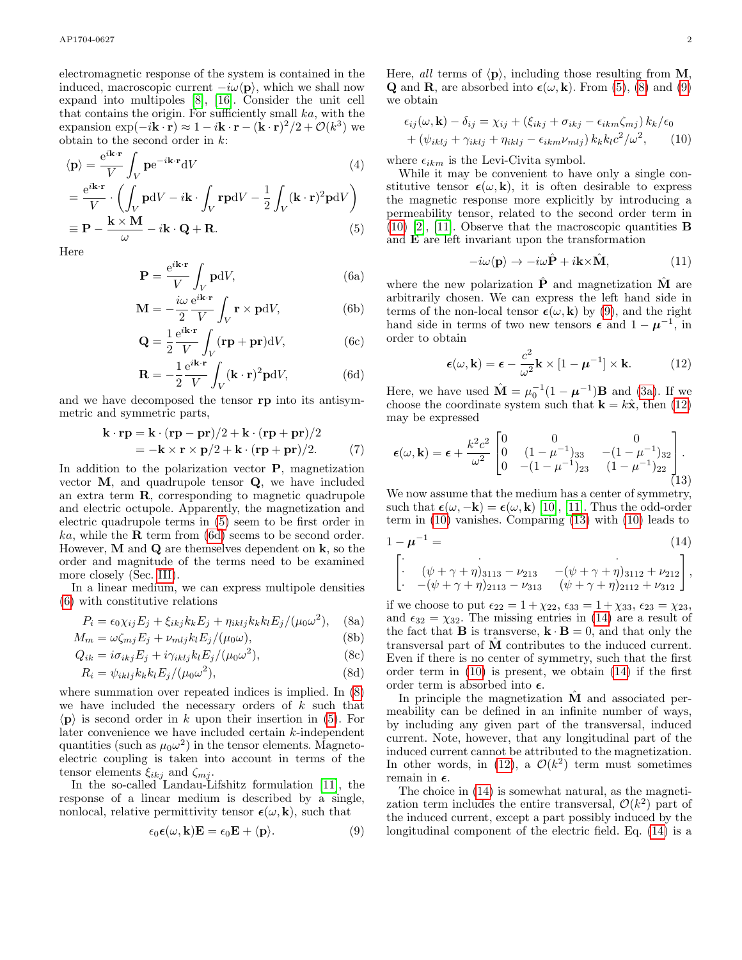electromagnetic response of the system is contained in the induced, macroscopic current  $-i\omega \langle \mathbf{p} \rangle$ , which we shall now expand into multipoles [\[8\]](#page-6-3), [\[16\]](#page-6-7). Consider the unit cell that contains the origin. For sufficiently small ka, with the expansion  $\exp(-i\mathbf{k}\cdot\mathbf{r}) \approx 1 - i\mathbf{k}\cdot\mathbf{r} - (\dot{\mathbf{k}}\cdot\mathbf{r})^2/2 + \mathcal{O}(k^3)$  we obtain to the second order in  $k$ :

$$
\langle \mathbf{p} \rangle = \frac{e^{i\mathbf{k} \cdot \mathbf{r}}}{V} \int_{V} \mathbf{p} e^{-i\mathbf{k} \cdot \mathbf{r}} dV \tag{4}
$$

$$
= \frac{e^{i\mathbf{k}\cdot\mathbf{r}}}{V} \cdot \left(\int_{V} \mathbf{p}dV - i\mathbf{k} \cdot \int_{V} \mathbf{r}\mathbf{p}dV - \frac{1}{2} \int_{V} (\mathbf{k}\cdot\mathbf{r})^{2} \mathbf{p}dV\right)
$$

$$
\equiv \mathbf{P} - \frac{\mathbf{k}\times\mathbf{M}}{\omega} - i\mathbf{k}\cdot\mathbf{Q} + \mathbf{R}.
$$
 (5)

<span id="page-2-2"></span>Here

$$
\mathbf{P} = \frac{e^{i\mathbf{k}\cdot\mathbf{r}}}{V} \int_{V} \mathbf{p} \mathrm{d}V,\tag{6a}
$$

$$
\mathbf{M} = -\frac{i\omega}{2} \frac{e^{i\mathbf{k} \cdot \mathbf{r}}}{V} \int_{V} \mathbf{r} \times \mathbf{p} dV,
$$
 (6b)

$$
\mathbf{Q} = \frac{1}{2} \frac{e^{i\mathbf{k} \cdot \mathbf{r}}}{V} \int_{V} (\mathbf{r} \mathbf{p} + \mathbf{p} \mathbf{r}) dV, \tag{6c}
$$

$$
\mathbf{R} = -\frac{1}{2} \frac{e^{i\mathbf{k} \cdot \mathbf{r}}}{V} \int_{V} (\mathbf{k} \cdot \mathbf{r})^2 \mathbf{p} dV,
$$
 (6d)

and we have decomposed the tensor rp into its antisymmetric and symmetric parts,

$$
\mathbf{k} \cdot \mathbf{rp} = \mathbf{k} \cdot (\mathbf{rp} - \mathbf{pr})/2 + \mathbf{k} \cdot (\mathbf{rp} + \mathbf{pr})/2
$$
  
=  $-\mathbf{k} \times \mathbf{r} \times \mathbf{p}/2 + \mathbf{k} \cdot (\mathbf{rp} + \mathbf{pr})/2.$  (7)

In addition to the polarization vector  $P$ , magnetization vector  $M$ , and quadrupole tensor  $Q$ , we have included an extra term  $\bf{R}$ , corresponding to magnetic quadrupole and electric octupole. Apparently, the magnetization and electric quadrupole terms in [\(5\)](#page-2-0) seem to be first order in  $ka$ , while the **R** term from [\(6d\)](#page-2-1) seems to be second order. However, **M** and **Q** are themselves dependent on  $\bf{k}$ , so the order and magnitude of the terms need to be examined more closely (Sec. [III\)](#page-3-0).

In a linear medium, we can express multipole densities [\(6\)](#page-2-2) with constitutive relations

<span id="page-2-3"></span>
$$
P_i = \epsilon_0 \chi_{ij} E_j + \xi_{ikj} k_k E_j + \eta_{iklj} k_k k_l E_j / (\mu_0 \omega^2), \quad \text{(8a)}
$$

$$
M_m = \omega \zeta_{mj} E_j + \nu_{mlj} k_l E_j / (\mu_0 \omega), \tag{8b}
$$

$$
Q_{ik} = i\sigma_{ikj}E_j + i\gamma_{iklj}k_lE_j/(\mu_0\omega^2),
$$
\n(8c)

$$
R_i = \psi_{iklj} k_k k_l E_j / (\mu_0 \omega^2), \qquad (8d)
$$

where summation over repeated indices is implied. In [\(8\)](#page-2-3) we have included the necessary orders of  $k$  such that  $\langle \mathbf{p} \rangle$  is second order in k upon their insertion in [\(5\)](#page-2-0). For later convenience we have included certain k-independent quantities (such as  $\mu_0 \omega^2$ ) in the tensor elements. Magnetoelectric coupling is taken into account in terms of the tensor elements  $\xi_{ikj}$  and  $\zeta_{mj}$ .

In the so-called Landau-Lifshitz formulation [\[11\]](#page-6-5), the response of a linear medium is described by a single, nonlocal, relative permittivity tensor  $\epsilon(\omega, \mathbf{k})$ , such that

<span id="page-2-4"></span>
$$
\epsilon_0 \epsilon(\omega, \mathbf{k}) \mathbf{E} = \epsilon_0 \mathbf{E} + \langle \mathbf{p} \rangle.
$$
 (9)

Here, all terms of  $\langle \mathbf{p} \rangle$ , including those resulting from **M**,

we obtain  
\n
$$
\epsilon_{ij}(\omega, \mathbf{k}) - \delta_{ij} = \chi_{ij} + (\xi_{ikj} + \sigma_{ikj} - \epsilon_{ikm}\zeta_{mj}) k_k / \epsilon_0
$$
\n
$$
+ (\psi_{iklj} + \gamma_{iklj} + \eta_{iklj} - \epsilon_{ikm}\nu_{mlj}) k_k k_l c^2 / \omega^2, \qquad (10)
$$

**Q** and **R**, are absorbed into  $\epsilon(\omega, \mathbf{k})$ . From [\(5\)](#page-2-0), [\(8\)](#page-2-3) and [\(9\)](#page-2-4)

where  $\epsilon_{ikm}$  is the Levi-Civita symbol.

<span id="page-2-0"></span>While it may be convenient to have only a single constitutive tensor  $\epsilon(\omega, \mathbf{k})$ , it is often desirable to express the magnetic response more explicitly by introducing a permeability tensor, related to the second order term in  $(10)$  [\[2\]](#page-5-1), [\[11\]](#page-6-5). Observe that the macroscopic quantities **B** and E are left invariant upon the transformation

<span id="page-2-5"></span>
$$
-i\omega \langle \mathbf{p} \rangle \to -i\omega \hat{\mathbf{P}} + i\mathbf{k} \times \hat{\mathbf{M}}, \tag{11}
$$

<span id="page-2-9"></span>where the new polarization  $P$  and magnetization  $M$  are arbitrarily chosen. We can express the left hand side in terms of the non-local tensor  $\epsilon(\omega, \mathbf{k})$  by [\(9\)](#page-2-4), and the right hand side in terms of two new tensors  $\epsilon$  and  $1 - \mu^{-1}$ , in order to obtain

<span id="page-2-8"></span><span id="page-2-6"></span>
$$
\epsilon(\omega, \mathbf{k}) = \epsilon - \frac{c^2}{\omega^2} \mathbf{k} \times [1 - \boldsymbol{\mu}^{-1}] \times \mathbf{k}.
$$
 (12)

<span id="page-2-1"></span>Here, we have used  $\hat{\mathbf{M}} = \mu_0^{-1}(1 - \boldsymbol{\mu}^{-1})\mathbf{B}$  and [\(3a\)](#page-1-2). If we choose the coordinate system such that  $\mathbf{k} = k\hat{\mathbf{x}}$ , then [\(12\)](#page-2-6) may be expressed

<span id="page-2-7"></span>
$$
\epsilon(\omega, \mathbf{k}) = \epsilon + \frac{k^2 c^2}{\omega^2} \begin{bmatrix} 0 & 0 & 0 \\ 0 & (1 - \mu^{-1})_{33} & -(1 - \mu^{-1})_{32} \\ 0 & -(1 - \mu^{-1})_{23} & (1 - \mu^{-1})_{22} \end{bmatrix}.
$$
\n(13)

We now assume that the medium has a center of symmetry, such that  $\epsilon(\omega, -k) = \epsilon(\omega, k)$  [\[10\]](#page-6-1), [\[11\]](#page-6-5). Thus the odd-order term in [\(10\)](#page-2-5) vanishes. Comparing [\(13\)](#page-2-7) with [\(10\)](#page-2-5) leads to

1 − µ <sup>−</sup><sup>1</sup> = (14) " · · · · (ψ + γ + η)<sup>3113</sup> − ν<sup>213</sup> −(ψ + γ + η)<sup>3112</sup> + ν<sup>212</sup> · −(<sup>ψ</sup> <sup>+</sup> <sup>γ</sup> <sup>+</sup> <sup>η</sup>)<sup>2113</sup> <sup>−</sup> <sup>ν</sup><sup>313</sup> (<sup>ψ</sup> <sup>+</sup> <sup>γ</sup> <sup>+</sup> <sup>η</sup>)<sup>2112</sup> <sup>+</sup> <sup>ν</sup><sup>312</sup> # ,

<span id="page-2-10"></span>if we choose to put  $\epsilon_{22} = 1 + \chi_{22}, \epsilon_{33} = 1 + \chi_{33}, \epsilon_{23} = \chi_{23}$ , and  $\epsilon_{32} = \chi_{32}$ . The missing entries in [\(14\)](#page-2-8) are a result of the fact that **B** is transverse,  $\mathbf{k} \cdot \mathbf{B} = 0$ , and that only the transversal part of Mˆ contributes to the induced current. Even if there is no center of symmetry, such that the first order term in [\(10\)](#page-2-5) is present, we obtain [\(14\)](#page-2-8) if the first order term is absorbed into  $\epsilon$ .

In principle the magnetization  $\hat{M}$  and associated permeability can be defined in an infinite number of ways, by including any given part of the transversal, induced current. Note, however, that any longitudinal part of the induced current cannot be attributed to the magnetization. In other words, in [\(12\)](#page-2-6), a  $\mathcal{O}(k^2)$  term must sometimes remain in  $\epsilon$ .

The choice in [\(14\)](#page-2-8) is somewhat natural, as the magnetization term includes the entire transversal,  $\mathcal{O}(k^2)$  part of the induced current, except a part possibly induced by the longitudinal component of the electric field. Eq. [\(14\)](#page-2-8) is a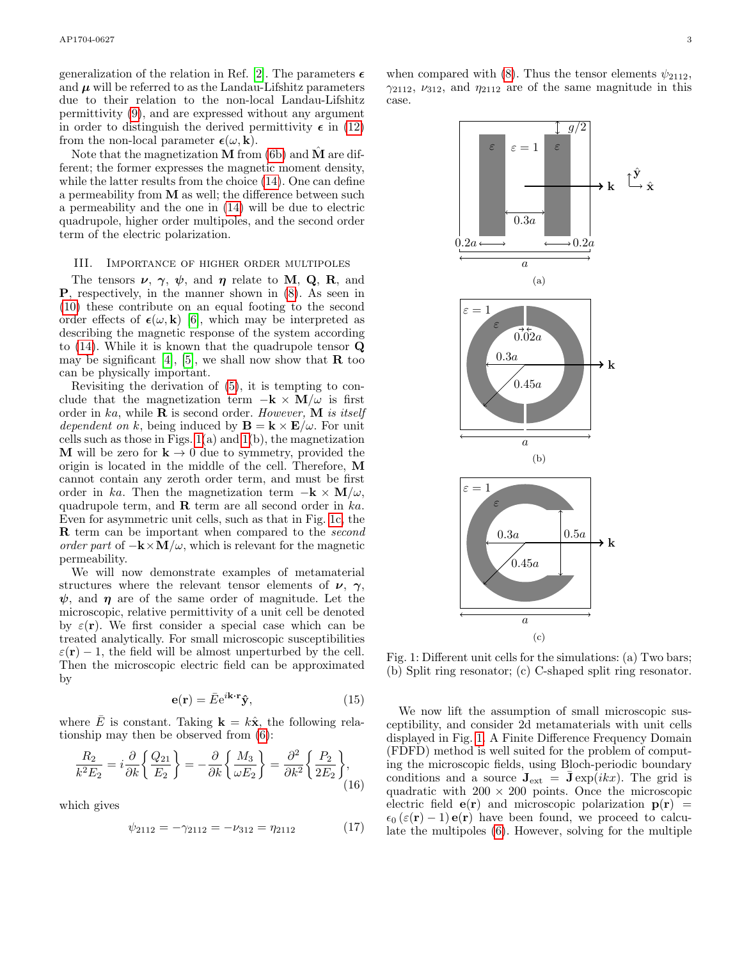generalization of the relation in Ref. [\[2\]](#page-5-1). The parameters  $\epsilon$ and  $\mu$  will be referred to as the Landau-Lifshitz parameters due to their relation to the non-local Landau-Lifshitz permittivity [\(9\)](#page-2-4), and are expressed without any argument in order to distinguish the derived permittivity  $\epsilon$  in [\(12\)](#page-2-6) from the non-local parameter  $\epsilon(\omega, \mathbf{k})$ .

Note that the magnetization **M** from [\(6b\)](#page-2-9) and  $\hat{\mathbf{M}}$  are different; the former expresses the magnetic moment density, while the latter results from the choice [\(14\)](#page-2-8). One can define a permeability from M as well; the difference between such a permeability and the one in [\(14\)](#page-2-8) will be due to electric quadrupole, higher order multipoles, and the second order term of the electric polarization.

#### <span id="page-3-0"></span>III. Importance of higher order multipoles

The tensors  $\nu$ ,  $\gamma$ ,  $\psi$ , and  $\eta$  relate to **M**, **Q**, **R**, and P, respectively, in the manner shown in [\(8\)](#page-2-3). As seen in [\(10\)](#page-2-5) these contribute on an equal footing to the second order effects of  $\epsilon(\omega, \mathbf{k})$  [\[6\]](#page-6-8), which may be interpreted as describing the magnetic response of the system according to  $(14)$ . While it is known that the quadrupole tensor  $\mathbf Q$ may be significant [\[4\]](#page-5-3), [\[5\]](#page-5-4), we shall now show that  $\bf{R}$  too can be physically important.

Revisiting the derivation of [\(5\)](#page-2-0), it is tempting to conclude that the magnetization term  $-{\bf k} \times {\bf M}/\omega$  is first order in ka, while  $\bf{R}$  is second order. However,  $\bf{M}$  is itself dependent on k, being induced by  $\mathbf{B} = \mathbf{k} \times \mathbf{E}/\omega$ . For unit cells such as those in Figs.  $1(a)$  and  $1(b)$ , the magnetization **M** will be zero for  $k \to 0$  due to symmetry, provided the origin is located in the middle of the cell. Therefore, M cannot contain any zeroth order term, and must be first order in ka. Then the magnetization term  $-{\bf k} \times {\bf M}/\omega$ , quadrupole term, and  $\bf{R}$  term are all second order in  $ka$ . Even for asymmetric unit cells, such as that in Fig. [1c,](#page-3-2) the **R** term can be important when compared to the second order part of  $-\mathbf{k} \times \mathbf{M}/\omega$ , which is relevant for the magnetic permeability.

We will now demonstrate examples of metamaterial structures where the relevant tensor elements of  $\nu$ ,  $\gamma$ ,  $\psi$ , and  $\eta$  are of the same order of magnitude. Let the microscopic, relative permittivity of a unit cell be denoted by  $\varepsilon(\mathbf{r})$ . We first consider a special case which can be treated analytically. For small microscopic susceptibilities  $\varepsilon(\mathbf{r}) - 1$ , the field will be almost unperturbed by the cell. Then the microscopic electric field can be approximated by

$$
\mathbf{e}(\mathbf{r}) = \bar{E}e^{i\mathbf{k}\cdot\mathbf{r}}\hat{\mathbf{y}},\tag{15}
$$

where  $\overline{E}$  is constant. Taking  $\mathbf{k} = k\hat{\mathbf{x}}$ , the following relationship may then be observed from [\(6\)](#page-2-2):

$$
\frac{R_2}{k^2 E_2} = i \frac{\partial}{\partial k} \left\{ \frac{Q_{21}}{E_2} \right\} = -\frac{\partial}{\partial k} \left\{ \frac{M_3}{\omega E_2} \right\} = \frac{\partial^2}{\partial k^2} \left\{ \frac{P_2}{2E_2} \right\},\tag{16}
$$

which gives

$$
\psi_{2112} = -\gamma_{2112} = -\nu_{312} = \eta_{2112} \tag{17}
$$

<span id="page-3-3"></span><span id="page-3-1"></span>when compared with [\(8\)](#page-2-3). Thus the tensor elements  $\psi_{2112}$ ,  $\gamma_{2112}$ ,  $\nu_{312}$ , and  $\eta_{2112}$  are of the same magnitude in this case.

<span id="page-3-4"></span>

<span id="page-3-2"></span>Fig. 1: Different unit cells for the simulations: (a) Two bars; (b) Split ring resonator; (c) C-shaped split ring resonator.

We now lift the assumption of small microscopic susceptibility, and consider 2d metamaterials with unit cells displayed in Fig. [1.](#page-3-1) A Finite Difference Frequency Domain (FDFD) method is well suited for the problem of computing the microscopic fields, using Bloch-periodic boundary conditions and a source  $J_{ext} = \bar{J} \exp(ikx)$ . The grid is quadratic with  $200 \times 200$  points. Once the microscopic electric field  $e(\mathbf{r})$  and microscopic polarization  $p(\mathbf{r}) =$  $\epsilon_0 (\varepsilon(\mathbf{r}) - 1) \mathbf{e}(\mathbf{r})$  have been found, we proceed to calculate the multipoles [\(6\)](#page-2-2). However, solving for the multiple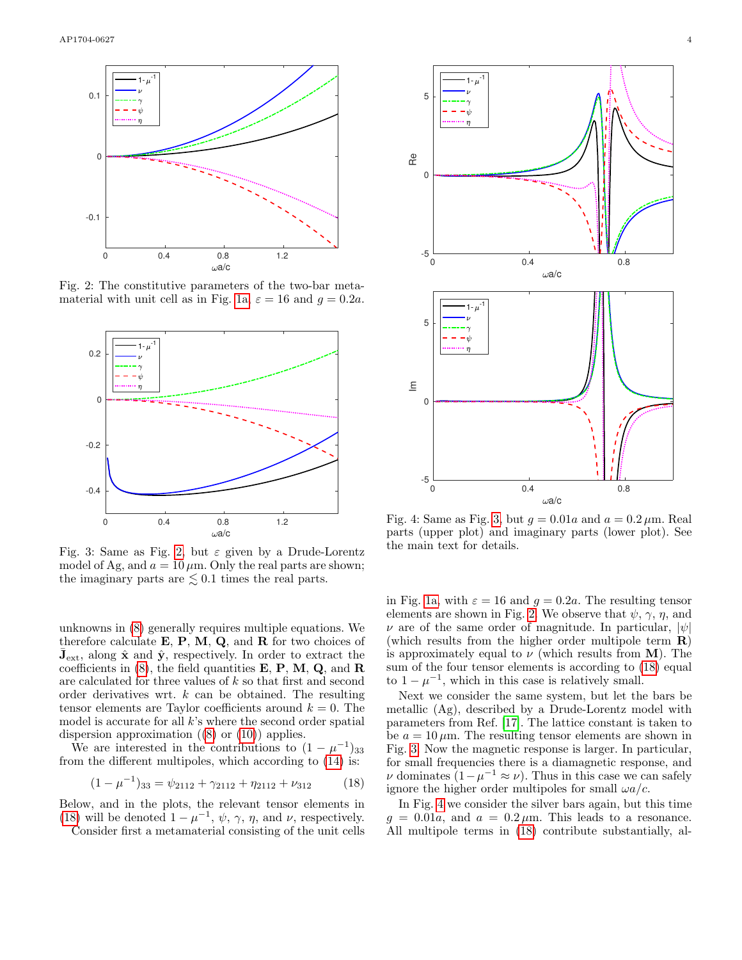<span id="page-4-0"></span>

Fig. 2: The constitutive parameters of the two-bar meta-material with unit cell as in Fig. [1a,](#page-3-3)  $\varepsilon = 16$  and  $q = 0.2a$ .

<span id="page-4-2"></span>

Fig. 3: Same as Fig. [2,](#page-4-0) but  $\varepsilon$  given by a Drude-Lorentz model of Ag, and  $a = 10 \,\mu$ m. Only the real parts are shown; the imaginary parts are  $\lesssim 0.1$  times the real parts.

unknowns in [\(8\)](#page-2-3) generally requires multiple equations. We therefore calculate  $E, P, M, Q$ , and  $R$  for two choices of  $\bar{J}_{ext}$ , along  $\hat{x}$  and  $\hat{y}$ , respectively. In order to extract the coefficients in  $(8)$ , the field quantities **E**, **P**, **M**, **Q**, and **R** are calculated for three values of k so that first and second order derivatives wrt.  $k$  can be obtained. The resulting tensor elements are Taylor coefficients around  $k = 0$ . The model is accurate for all  $k$ 's where the second order spatial dispersion approximation  $(8)$  or  $(10)$ ) applies.

We are interested in the contributions to  $(1 - \mu^{-1})_{33}$ from the different multipoles, which according to [\(14\)](#page-2-8) is:

<span id="page-4-1"></span>
$$
(1 - \mu^{-1})_{33} = \psi_{2112} + \gamma_{2112} + \eta_{2112} + \nu_{312}
$$
 (18)

Below, and in the plots, the relevant tensor elements in [\(18\)](#page-4-1) will be denoted  $1 - \mu^{-1}$ ,  $\psi$ ,  $\gamma$ ,  $\eta$ , and  $\nu$ , respectively. Consider first a metamaterial consisting of the unit cells

<span id="page-4-3"></span>0 0.4 0.8  $\omega$ a/c  $-5\frac{L}{0}$  $\mathcal{C}$ 5 Re  $1 - \mu^{-1}$ 0 0.4 0.8  $\omega$ a/c  $-5\frac{1}{0}$  $\Omega$ 5  $E$  $1 - \mu^{-1}$ 

Fig. 4: Same as Fig. [3,](#page-4-2) but  $q = 0.01a$  and  $a = 0.2 \mu$ m. Real parts (upper plot) and imaginary parts (lower plot). See the main text for details.

in Fig. [1a,](#page-3-3) with  $\varepsilon = 16$  and  $g = 0.2a$ . The resulting tensor elements are shown in Fig. [2.](#page-4-0) We observe that  $\psi$ ,  $\gamma$ ,  $\eta$ , and  $\nu$  are of the same order of magnitude. In particular,  $|\psi|$ (which results from the higher order multipole term R) is approximately equal to  $\nu$  (which results from **M**). The sum of the four tensor elements is according to [\(18\)](#page-4-1) equal to  $1 - \mu^{-1}$ , which in this case is relatively small.

Next we consider the same system, but let the bars be metallic (Ag), described by a Drude-Lorentz model with parameters from Ref. [\[17\]](#page-6-9). The lattice constant is taken to be  $a = 10 \,\mu\text{m}$ . The resulting tensor elements are shown in Fig. [3.](#page-4-2) Now the magnetic response is larger. In particular, for small frequencies there is a diamagnetic response, and v dominates  $(1 - \mu^{-1} \approx \nu)$ . Thus in this case we can safely ignore the higher order multipoles for small  $\omega a/c$ .

In Fig. [4](#page-4-3) we consider the silver bars again, but this time  $g = 0.01a$ , and  $a = 0.2 \mu$ m. This leads to a resonance. All multipole terms in [\(18\)](#page-4-1) contribute substantially, al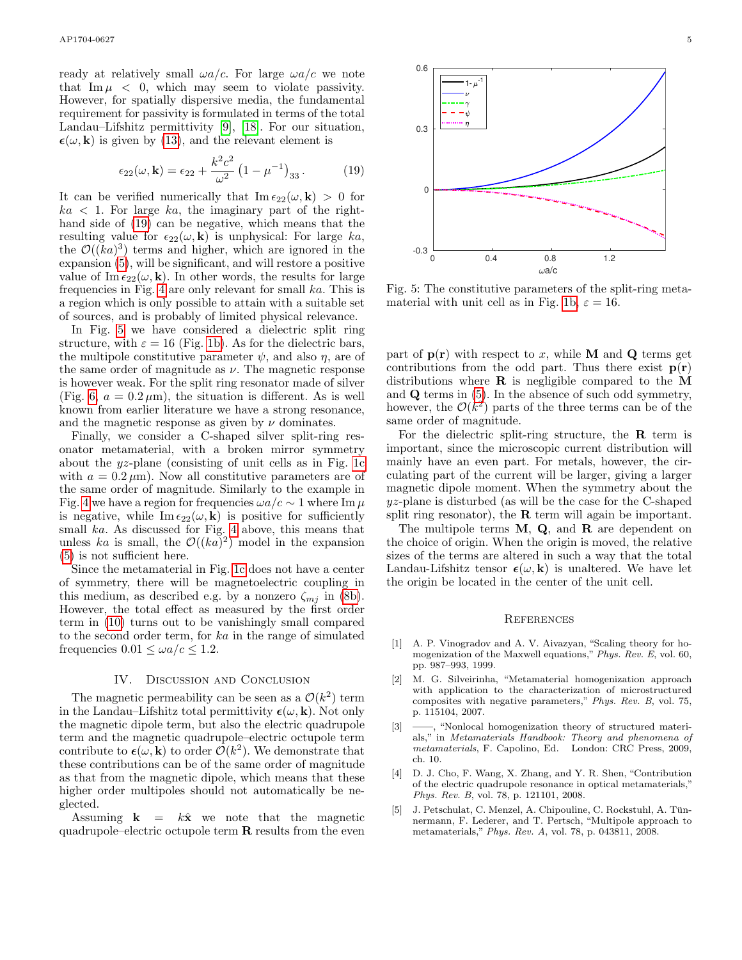ready at relatively small  $\omega a/c$ . For large  $\omega a/c$  we note that  $\text{Im}\,\mu < 0$ , which may seem to violate passivity. However, for spatially dispersive media, the fundamental requirement for passivity is formulated in terms of the total Landau–Lifshitz permittivity [\[9\]](#page-6-0), [\[18\]](#page-6-10). For our situation,  $\epsilon(\omega, \mathbf{k})$  is given by [\(13\)](#page-2-7), and the relevant element is

<span id="page-5-5"></span>
$$
\epsilon_{22}(\omega, \mathbf{k}) = \epsilon_{22} + \frac{k^2 c^2}{\omega^2} \left( 1 - \mu^{-1} \right)_{33}.
$$
 (19)

It can be verified numerically that  $\text{Im } \epsilon_{22}(\omega, \mathbf{k}) > 0$  for  $ka < 1$ . For large ka, the imaginary part of the righthand side of [\(19\)](#page-5-5) can be negative, which means that the resulting value for  $\epsilon_{22}(\omega, \mathbf{k})$  is unphysical: For large  $ka$ , the  $\mathcal{O}((ka)^3)$  terms and higher, which are ignored in the expansion [\(5\)](#page-2-0), will be significant, and will restore a positive value of Im  $\epsilon_{22}(\omega, \mathbf{k})$ . In other words, the results for large frequencies in Fig. [4](#page-4-3) are only relevant for small ka. This is a region which is only possible to attain with a suitable set of sources, and is probably of limited physical relevance.

In Fig. [5](#page-5-6) we have considered a dielectric split ring structure, with  $\varepsilon = 16$  (Fig. [1b\)](#page-3-4). As for the dielectric bars, the multipole constitutive parameter  $\psi$ , and also  $\eta$ , are of the same order of magnitude as  $\nu$ . The magnetic response is however weak. For the split ring resonator made of silver (Fig. [6,](#page-6-11)  $a = 0.2 \,\mu\text{m}$ ), the situation is different. As is well known from earlier literature we have a strong resonance, and the magnetic response as given by  $\nu$  dominates.

Finally, we consider a C-shaped silver split-ring resonator metamaterial, with a broken mirror symmetry about the yz-plane (consisting of unit cells as in Fig. [1c](#page-3-2) with  $a = 0.2 \,\mu\text{m}$ . Now all constitutive parameters are of the same order of magnitude. Similarly to the example in Fig. [4](#page-4-3) we have a region for frequencies  $\omega a/c \sim 1$  where Im  $\mu$ is negative, while  $\text{Im } \epsilon_{22}(\omega, \mathbf{k})$  is positive for sufficiently small ka. As discussed for Fig. [4](#page-4-3) above, this means that unless ka is small, the  $\mathcal{O}((ka)^2)$  model in the expansion [\(5\)](#page-2-0) is not sufficient here.

Since the metamaterial in Fig. [1c](#page-3-2) does not have a center of symmetry, there will be magnetoelectric coupling in this medium, as described e.g. by a nonzero  $\zeta_{mj}$  in [\(8b\)](#page-2-10). However, the total effect as measured by the first order term in [\(10\)](#page-2-5) turns out to be vanishingly small compared to the second order term, for ka in the range of simulated frequencies  $0.01 \leq \omega a/c \leq 1.2$ .

### IV. Discussion and Conclusion

The magnetic permeability can be seen as a  $\mathcal{O}(k^2)$  term in the Landau–Lifshitz total permittivity  $\epsilon(\omega, \mathbf{k})$ . Not only the magnetic dipole term, but also the electric quadrupole term and the magnetic quadrupole–electric octupole term contribute to  $\epsilon(\omega, \mathbf{k})$  to order  $\mathcal{O}(k^2)$ . We demonstrate that these contributions can be of the same order of magnitude as that from the magnetic dipole, which means that these higher order multipoles should not automatically be neglected.

Assuming  $\mathbf{k} = k\hat{\mathbf{x}}$  we note that the magnetic quadrupole–electric octupole term  $\bf R$  results from the even

<span id="page-5-6"></span>

Fig. 5: The constitutive parameters of the split-ring meta-material with unit cell as in Fig. [1b,](#page-3-4)  $\varepsilon = 16$ .

part of  $p(r)$  with respect to x, while M and Q terms get contributions from the odd part. Thus there exist  $p(r)$ distributions where  $\bf{R}$  is negligible compared to the  $\bf{M}$ and Q terms in [\(5\)](#page-2-0). In the absence of such odd symmetry, however, the  $\mathcal{O}(k^2)$  parts of the three terms can be of the same order of magnitude.

For the dielectric split-ring structure, the  $\bf{R}$  term is important, since the microscopic current distribution will mainly have an even part. For metals, however, the circulating part of the current will be larger, giving a larger magnetic dipole moment. When the symmetry about the yz-plane is disturbed (as will be the case for the C-shaped split ring resonator), the  $\bf{R}$  term will again be important.

The multipole terms  $M$ ,  $Q$ , and  $R$  are dependent on the choice of origin. When the origin is moved, the relative sizes of the terms are altered in such a way that the total Landau-Lifshitz tensor  $\epsilon(\omega, \mathbf{k})$  is unaltered. We have let the origin be located in the center of the unit cell.

## **REFERENCES**

- <span id="page-5-0"></span>[1] A. P. Vinogradov and A. V. Aivazyan, "Scaling theory for homogenization of the Maxwell equations," Phys. Rev. E, vol. 60, pp. 987–993, 1999.
- <span id="page-5-1"></span>[2] M. G. Silveirinha, "Metamaterial homogenization approach with application to the characterization of microstructured composites with negative parameters," Phys. Rev. B, vol. 75, p. 115104, 2007.
- <span id="page-5-2"></span>[3] ——, "Nonlocal homogenization theory of structured materials," in Metamaterials Handbook: Theory and phenomena of metamaterials, F. Capolino, Ed. London: CRC Press, 2009, ch. 10.
- <span id="page-5-3"></span>[4] D. J. Cho, F. Wang, X. Zhang, and Y. R. Shen, "Contribution of the electric quadrupole resonance in optical metamaterials," Phys. Rev. B, vol. 78, p. 121101, 2008.
- <span id="page-5-4"></span>[5] J. Petschulat, C. Menzel, A. Chipouline, C. Rockstuhl, A. Tun- ¨ nermann, F. Lederer, and T. Pertsch, "Multipole approach to metamaterials," Phys. Rev. A, vol. 78, p. 043811, 2008.